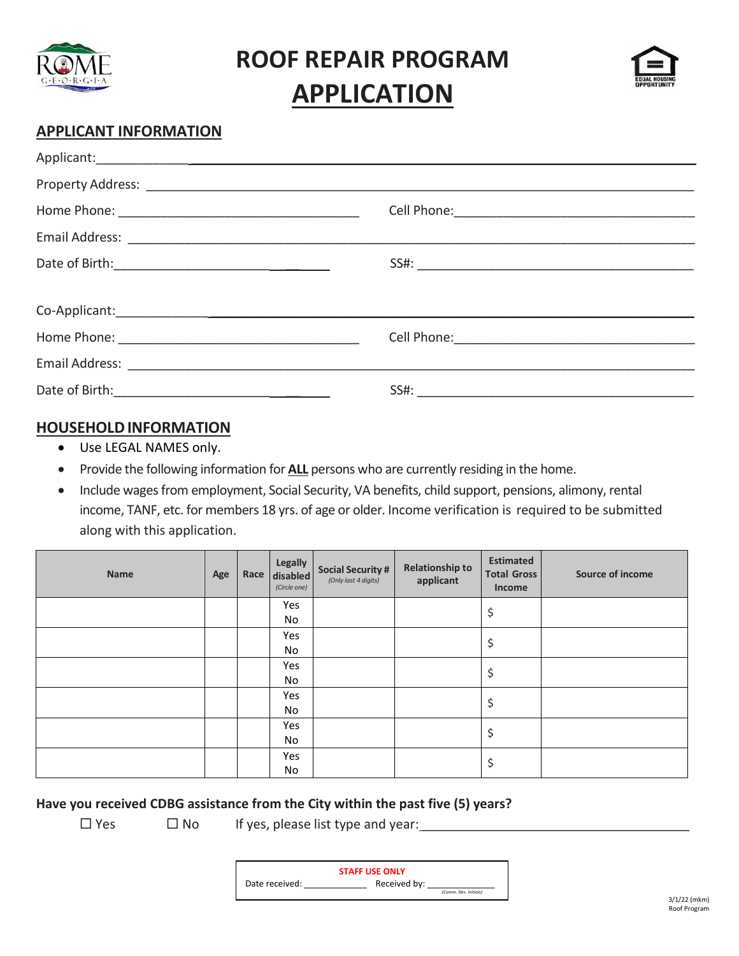

**ROOF REPAIR PROGRAM APPLICATION**



## **APPLICANT INFORMATION**

| $SSE: \begin{tabular}{ c c c c } \hline \multicolumn{3}{ c }{3.5} & \multicolumn{3}{ c }{5.5} & \multicolumn{3}{ c }{5.5} & \multicolumn{3}{ c }{5.5} & \multicolumn{3}{ c }{5.5} & \multicolumn{3}{ c }{5.5} & \multicolumn{3}{ c }{5.5} & \multicolumn{3}{ c }{5.5} & \multicolumn{3}{ c }{5.5} & \multicolumn{3}{ c }{5.5} & \multicolumn{3}{ c }{5.5} & \multicolumn{3}{ c }{5.5} & \multicolumn{3$ |
|---------------------------------------------------------------------------------------------------------------------------------------------------------------------------------------------------------------------------------------------------------------------------------------------------------------------------------------------------------------------------------------------------------|
|                                                                                                                                                                                                                                                                                                                                                                                                         |
|                                                                                                                                                                                                                                                                                                                                                                                                         |
|                                                                                                                                                                                                                                                                                                                                                                                                         |
|                                                                                                                                                                                                                                                                                                                                                                                                         |
|                                                                                                                                                                                                                                                                                                                                                                                                         |

### **HOUSEHOLDINFORMATION**

- Use LEGAL NAMES only.
- Provide the following information for **ALL** persons who are currently residing in the home.
- Include wages from employment, Social Security, VA benefits, child support, pensions, alimony, rental income, TANF, etc. for members 18 yrs. of age or older. Income verification is required to be submitted along with this application.

| Name | Age | Legally<br>Race disabled<br>(Circle one) | <b>Social Security #</b><br>(Only last 4 digits) | <b>Relationship to</b><br>applicant | <b>Estimated</b><br><b>Total Gross</b><br>Income | <b>Source of income</b> |
|------|-----|------------------------------------------|--------------------------------------------------|-------------------------------------|--------------------------------------------------|-------------------------|
|      |     | Yes                                      |                                                  |                                     | \$                                               |                         |
|      |     | No                                       |                                                  |                                     |                                                  |                         |
|      |     | Yes                                      |                                                  |                                     | \$                                               |                         |
|      |     | No                                       |                                                  |                                     |                                                  |                         |
|      |     | Yes                                      |                                                  |                                     | \$                                               |                         |
|      |     | No                                       |                                                  |                                     |                                                  |                         |
|      |     | Yes                                      |                                                  |                                     | \$                                               |                         |
|      |     | No                                       |                                                  |                                     |                                                  |                         |
|      |     | Yes                                      |                                                  |                                     | \$                                               |                         |
|      |     | No                                       |                                                  |                                     |                                                  |                         |
|      |     | Yes                                      |                                                  |                                     | \$                                               |                         |
|      |     | No                                       |                                                  |                                     |                                                  |                         |

#### **Have you received CDBG assistance from the City within the past five (5) years?**

 $\Box$  Yes  $\Box$  No If yes, please list type and year:

| <b>STAFF USE ONLY</b> |                       |  |  |  |
|-----------------------|-----------------------|--|--|--|
| Date received:        | Received by:          |  |  |  |
|                       | (Comm. Dev. Initials) |  |  |  |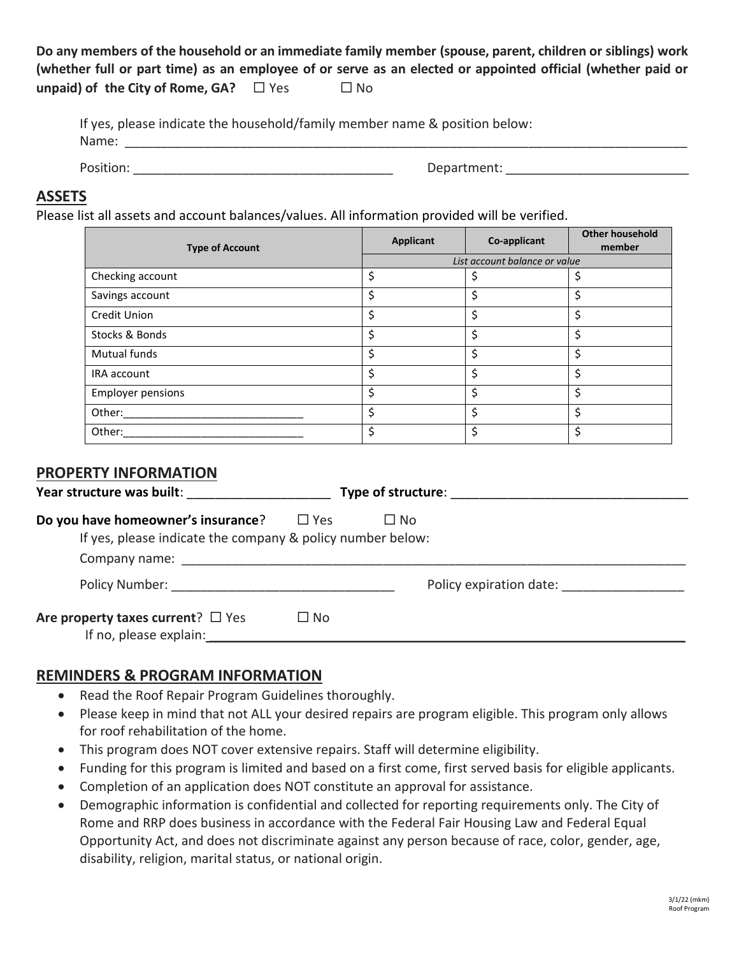**Do any members of the household or an immediate family member (spouse, parent, children or siblings) work** (whether full or part time) as an employee of or serve as an elected or appointed official (whether paid or **unpaid)** of the City of Rome, GA? □ Yes □ No

| If yes, please indicate the household/family member name & position below: |             |  |
|----------------------------------------------------------------------------|-------------|--|
| Name:                                                                      |             |  |
|                                                                            |             |  |
| Position:                                                                  | Department: |  |

#### **ASSETS**

Please list all assets and account balances/values. All information provided will be verified.

| <b>Type of Account</b>   | <b>Applicant</b>              | Co-applicant | <b>Other household</b><br>member |  |
|--------------------------|-------------------------------|--------------|----------------------------------|--|
|                          | List account balance or value |              |                                  |  |
| Checking account         | \$                            |              |                                  |  |
| Savings account          | \$                            | Ś            | \$                               |  |
| <b>Credit Union</b>      | \$                            | \$           | \$                               |  |
| Stocks & Bonds           | \$                            | Ś            | \$                               |  |
| Mutual funds             | \$                            | Ś            | \$                               |  |
| IRA account              | \$                            | Ś            | \$                               |  |
| <b>Employer pensions</b> | \$                            | Ś            | \$                               |  |
| Other:                   | \$                            | ς            | Ś                                |  |
| Other:                   | \$                            |              |                                  |  |

#### **PROPERTY INFORMATION**

| Year structure was built: Year structure                                                                                                                                                                                                 | <b>Type of structure:</b> Type of structure: |  |
|------------------------------------------------------------------------------------------------------------------------------------------------------------------------------------------------------------------------------------------|----------------------------------------------|--|
| Do you have homeowner's insurance?<br>□ Yes<br>$\Box$ No<br>If yes, please indicate the company & policy number below:<br>Company name: the company name of the company name of the company of the company of the company of the company |                                              |  |
| Policy Number: The contract of the contract of the contract of the contract of the contract of the contract of the contract of the contract of the contract of the contract of the contract of the contract of the contract of           | Policy expiration date:                      |  |
| Are property taxes current? $\Box$ Yes<br>$\square$ No<br>If no, please explain:                                                                                                                                                         |                                              |  |

#### **REMINDERS & PROGRAM INFORMATION**

- Read the Roof Repair Program Guidelines thoroughly.
- Please keep in mind that not ALL your desired repairs are program eligible. This program only allows for roof rehabilitation of the home.
- This program does NOT cover extensive repairs. Staff will determine eligibility.
- Funding for this program is limited and based on a first come, first served basis for eligible applicants.
- Completion of an application does NOT constitute an approval for assistance.
- Demographic information is confidential and collected for reporting requirements only. The City of Rome and RRP does business in accordance with the Federal Fair Housing Law and Federal Equal Opportunity Act, and does not discriminate against any person because of race, color, gender, age, disability, religion, marital status, or national origin.